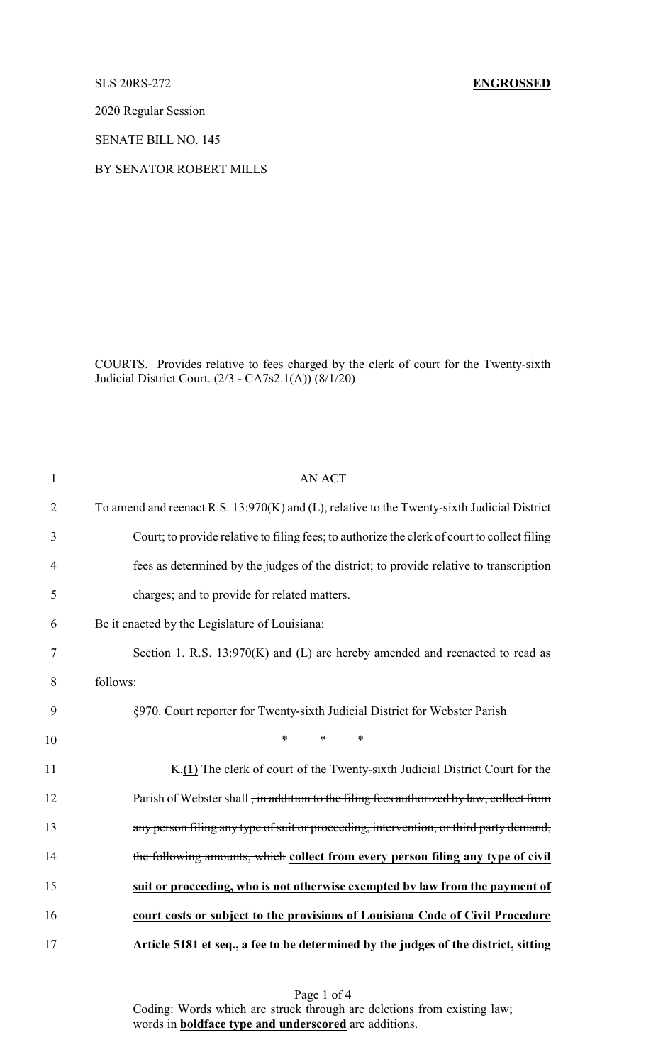2020 Regular Session

SENATE BILL NO. 145

## BY SENATOR ROBERT MILLS

COURTS. Provides relative to fees charged by the clerk of court for the Twenty-sixth Judicial District Court. (2/3 - CA7s2.1(A)) (8/1/20)

| $\mathbf{1}$   | <b>AN ACT</b>                                                                                |
|----------------|----------------------------------------------------------------------------------------------|
| $\overline{2}$ | To amend and reenact R.S. 13:970(K) and (L), relative to the Twenty-sixth Judicial District  |
| 3              | Court; to provide relative to filing fees; to authorize the clerk of court to collect filing |
| 4              | fees as determined by the judges of the district; to provide relative to transcription       |
| 5              | charges; and to provide for related matters.                                                 |
| 6              | Be it enacted by the Legislature of Louisiana:                                               |
| $\tau$         | Section 1. R.S. 13:970(K) and (L) are hereby amended and reenacted to read as                |
| 8              | follows:                                                                                     |
| 9              | §970. Court reporter for Twenty-sixth Judicial District for Webster Parish                   |
| 10             | $\ast$<br>$\ast$<br>$\ast$                                                                   |
| 11             | K.(1) The clerk of court of the Twenty-sixth Judicial District Court for the                 |
| 12             | Parish of Webster shall, in addition to the filing fees authorized by law, collect from      |
| 13             | any person filing any type of suit or proceeding, intervention, or third party demand,       |
| 14             | the following amounts, which collect from every person filing any type of civil              |
| 15             | suit or proceeding, who is not otherwise exempted by law from the payment of                 |
| 16             | court costs or subject to the provisions of Louisiana Code of Civil Procedure                |
| 17             | Article 5181 et seq., a fee to be determined by the judges of the district, sitting          |

Page 1 of 4 Coding: Words which are struck through are deletions from existing law; words in **boldface type and underscored** are additions.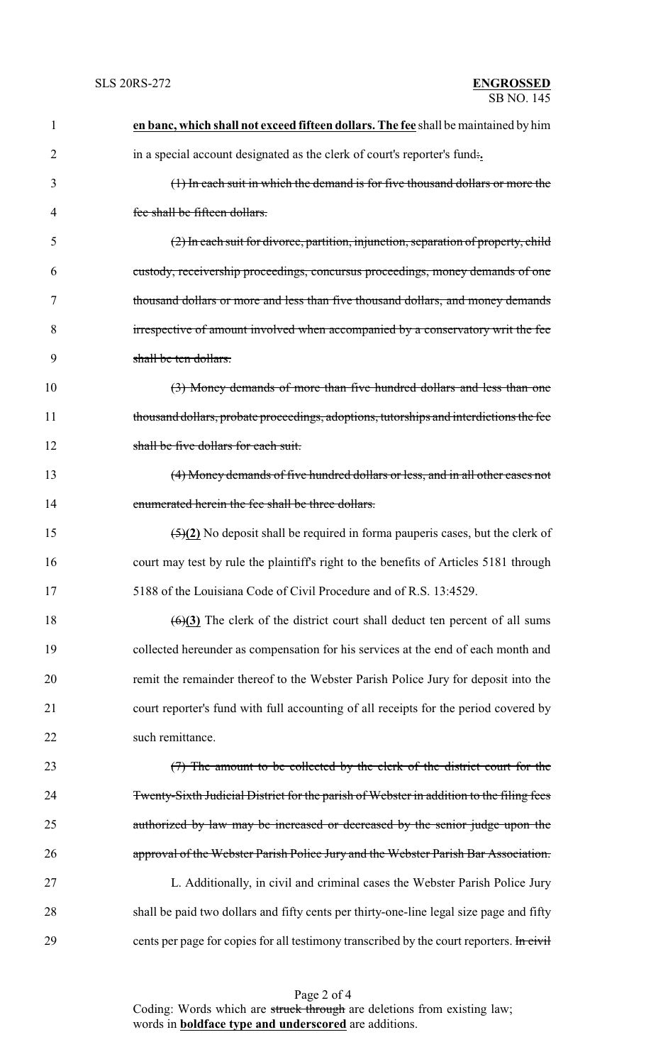| $\mathbf{1}$   | en banc, which shall not exceed fifteen dollars. The fee shall be maintained by him             |  |  |
|----------------|-------------------------------------------------------------------------------------------------|--|--|
| $\overline{2}$ | in a special account designated as the clerk of court's reporter's fund.                        |  |  |
| 3              | (1) In each suit in which the demand is for five thousand dollars or more the                   |  |  |
| $\overline{4}$ | fee shall be fifteen dollars.                                                                   |  |  |
| 5              | (2) In each suit for divorce, partition, injunction, separation of property, child              |  |  |
| 6              | custody, receivership proceedings, concursus proceedings, money demands of one                  |  |  |
| 7              | thousand dollars or more and less than five thousand dollars, and money demands                 |  |  |
| 8              | irrespective of amount involved when accompanied by a conservatory writ the fee                 |  |  |
| 9              | shall be ten dollars.                                                                           |  |  |
| 10             | (3) Money demands of more than five hundred dollars and less than one                           |  |  |
| 11             | thousand dollars, probate proceedings, adoptions, tutorships and interdictions the fee          |  |  |
| 12             | shall be five dollars for each suit.                                                            |  |  |
| 13             | (4) Money demands of five hundred dollars or less, and in all other cases not                   |  |  |
| 14             | enumerated herein the fee shall be three dollars.                                               |  |  |
| 15             | $\frac{5(2)}{2}$ No deposit shall be required in forma pauperis cases, but the clerk of         |  |  |
| 16             | court may test by rule the plaintiff's right to the benefits of Articles 5181 through           |  |  |
| 17             | 5188 of the Louisiana Code of Civil Procedure and of R.S. 13:4529.                              |  |  |
| 18             | $\left(\frac{6}{2}\right)$ The clerk of the district court shall deduct ten percent of all sums |  |  |
| 19             | collected hereunder as compensation for his services at the end of each month and               |  |  |
| 20             | remit the remainder thereof to the Webster Parish Police Jury for deposit into the              |  |  |
| 21             | court reporter's fund with full accounting of all receipts for the period covered by            |  |  |
| 22             | such remittance.                                                                                |  |  |
| 23             | (7) The amount to be collected by the clerk of the district court for the                       |  |  |
| 24             | Twenty-Sixth Judicial District for the parish of Webster in addition to the filing fees         |  |  |
| 25             | authorized by law may be increased or decreased by the senior judge upon the                    |  |  |
| 26             | approval of the Webster Parish Police Jury and the Webster Parish Bar Association.              |  |  |
| 27             | L. Additionally, in civil and criminal cases the Webster Parish Police Jury                     |  |  |
| 28             | shall be paid two dollars and fifty cents per thirty-one-line legal size page and fifty         |  |  |
| 29             | cents per page for copies for all testimony transcribed by the court reporters. In civil        |  |  |

Page 2 of 4 Coding: Words which are struck through are deletions from existing law; words in **boldface type and underscored** are additions.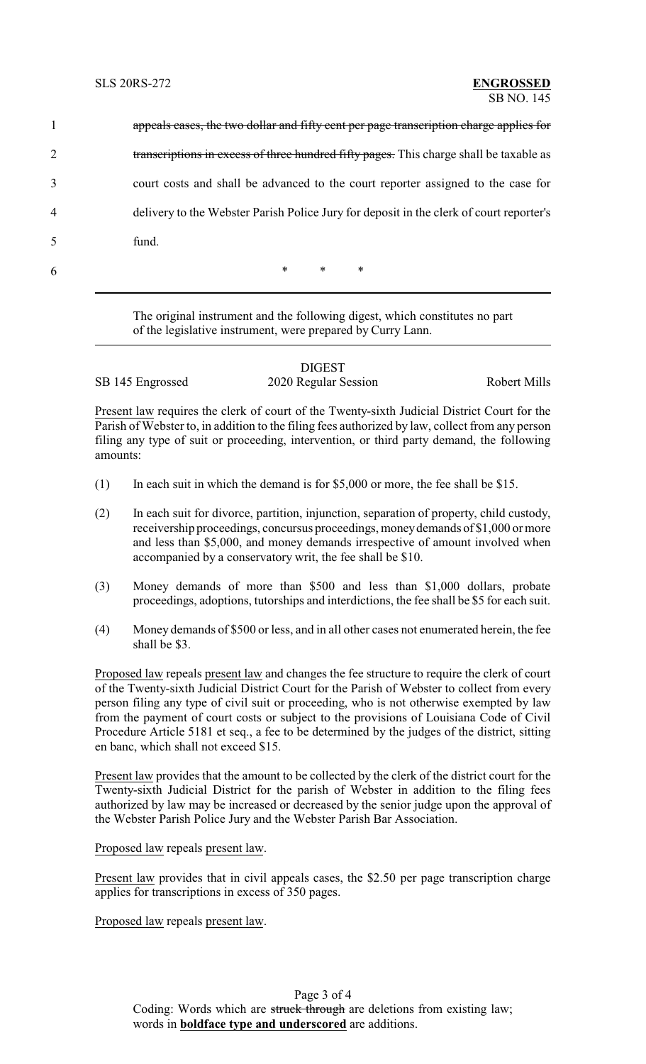|                |       |        |        | appeals cases, the two dollar and fifty cent per page transcription charge applies for  |
|----------------|-------|--------|--------|-----------------------------------------------------------------------------------------|
| $\overline{2}$ |       |        |        | transcriptions in excess of three hundred fifty pages. This charge shall be taxable as  |
| 3              |       |        |        | court costs and shall be advanced to the court reporter assigned to the case for        |
| 4              |       |        |        | delivery to the Webster Parish Police Jury for deposit in the clerk of court reporter's |
| 5              | fund. |        |        |                                                                                         |
| 6              |       | $\ast$ | $\ast$ | ∗                                                                                       |

The original instrument and the following digest, which constitutes no part of the legislative instrument, were prepared by Curry Lann.

|                  | <b>DIGEST</b>        |              |
|------------------|----------------------|--------------|
| SB 145 Engrossed | 2020 Regular Session | Robert Mills |

Present law requires the clerk of court of the Twenty-sixth Judicial District Court for the Parish of Webster to, in addition to the filing fees authorized by law, collect from any person filing any type of suit or proceeding, intervention, or third party demand, the following amounts:

- (1) In each suit in which the demand is for \$5,000 or more, the fee shall be \$15.
- (2) In each suit for divorce, partition, injunction, separation of property, child custody, receivership proceedings, concursus proceedings, moneydemands of \$1,000 or more and less than \$5,000, and money demands irrespective of amount involved when accompanied by a conservatory writ, the fee shall be \$10.
- (3) Money demands of more than \$500 and less than \$1,000 dollars, probate proceedings, adoptions, tutorships and interdictions, the fee shall be \$5 for each suit.
- (4) Money demands of \$500 or less, and in all other cases not enumerated herein, the fee shall be \$3.

Proposed law repeals present law and changes the fee structure to require the clerk of court of the Twenty-sixth Judicial District Court for the Parish of Webster to collect from every person filing any type of civil suit or proceeding, who is not otherwise exempted by law from the payment of court costs or subject to the provisions of Louisiana Code of Civil Procedure Article 5181 et seq., a fee to be determined by the judges of the district, sitting en banc, which shall not exceed \$15.

Present law provides that the amount to be collected by the clerk of the district court for the Twenty-sixth Judicial District for the parish of Webster in addition to the filing fees authorized by law may be increased or decreased by the senior judge upon the approval of the Webster Parish Police Jury and the Webster Parish Bar Association.

Proposed law repeals present law.

Present law provides that in civil appeals cases, the \$2.50 per page transcription charge applies for transcriptions in excess of 350 pages.

Proposed law repeals present law.